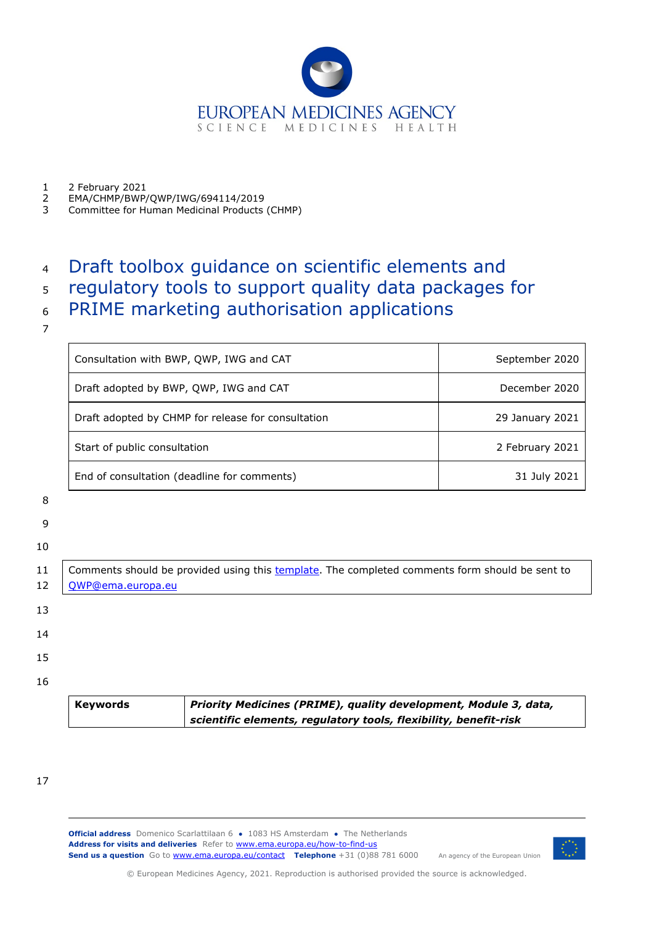

1 2 February 2021

- $\frac{2}{3}$ EMA/CHMP/BWP/QWP/IWG/694114/2019
- 3 Committee for Human Medicinal Products (CHMP)

# 4 Draft toolbox guidance on scientific elements and

# 5 regulatory tools to support quality data packages for

- 6 PRIME marketing authorisation applications
- 7

| Consultation with BWP, QWP, IWG and CAT            | September 2020  |  |
|----------------------------------------------------|-----------------|--|
| Draft adopted by BWP, QWP, IWG and CAT             | December 2020   |  |
| Draft adopted by CHMP for release for consultation | 29 January 2021 |  |
| Start of public consultation                       | 2 February 2021 |  |
| End of consultation (deadline for comments)        | 31 July 2021    |  |

- 8
- 
- 9

|          | <b>Keywords</b>   | Priority Medicines (PRIME), quality development, Module 3, data,<br>scientific elements, regulatory tools, flexibility, benefit-risk |
|----------|-------------------|--------------------------------------------------------------------------------------------------------------------------------------|
| 16       |                   |                                                                                                                                      |
| 15       |                   |                                                                                                                                      |
| 14       |                   |                                                                                                                                      |
| 13       |                   |                                                                                                                                      |
| 11<br>12 | QWP@ema.europa.eu | Comments should be provided using this template. The completed comments form should be sent to                                       |
| 10       |                   |                                                                                                                                      |

17

**Official address** Domenico Scarlattilaan 6 **●** 1083 HS Amsterdam **●** The Netherlands An agency of the European Union Address for visits and deliveries Refer to [www.ema.europa.eu/how-to-find-us](http://www.ema.europa.eu/how-to-find-us) **Send us a question** Go t[o www.ema.europa.eu/contact](http://www.ema.europa.eu/contact) **Telephone** +31 (0)88 781 6000



© European Medicines Agency, 2021. Reproduction is authorised provided the source is acknowledged.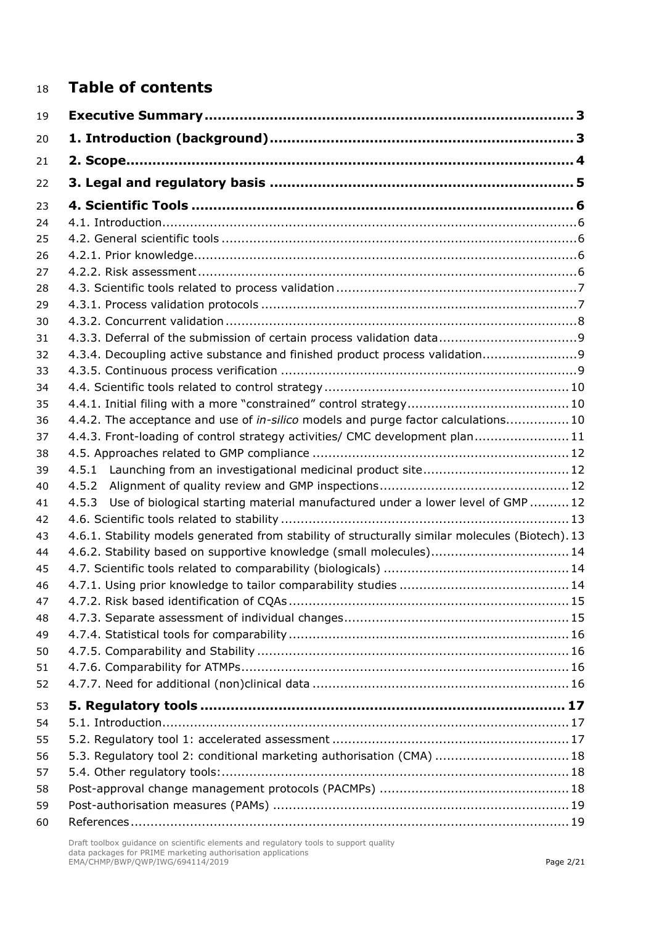# **Table of contents**

| 19 |                                                                                                  |  |
|----|--------------------------------------------------------------------------------------------------|--|
| 20 |                                                                                                  |  |
| 21 |                                                                                                  |  |
| 22 |                                                                                                  |  |
| 23 |                                                                                                  |  |
| 24 |                                                                                                  |  |
| 25 |                                                                                                  |  |
| 26 |                                                                                                  |  |
| 27 |                                                                                                  |  |
| 28 |                                                                                                  |  |
| 29 |                                                                                                  |  |
| 30 |                                                                                                  |  |
| 31 |                                                                                                  |  |
| 32 | 4.3.4. Decoupling active substance and finished product process validation                       |  |
| 33 |                                                                                                  |  |
| 34 |                                                                                                  |  |
| 35 |                                                                                                  |  |
| 36 | 4.4.2. The acceptance and use of in-silico models and purge factor calculations 10               |  |
| 37 | 4.4.3. Front-loading of control strategy activities/ CMC development plan11                      |  |
| 38 |                                                                                                  |  |
| 39 | 4.5.1 Launching from an investigational medicinal product site12                                 |  |
| 40 | 4.5.2                                                                                            |  |
| 41 | Use of biological starting material manufactured under a lower level of GMP  12<br>4.5.3         |  |
| 42 |                                                                                                  |  |
| 43 | 4.6.1. Stability models generated from stability of structurally similar molecules (Biotech). 13 |  |
| 44 | 4.6.2. Stability based on supportive knowledge (small molecules)14                               |  |
| 45 |                                                                                                  |  |
| 46 |                                                                                                  |  |
| 47 |                                                                                                  |  |
| 48 |                                                                                                  |  |
| 49 |                                                                                                  |  |
| 50 |                                                                                                  |  |
| 51 |                                                                                                  |  |
| 52 |                                                                                                  |  |
| 53 |                                                                                                  |  |
| 54 |                                                                                                  |  |
| 55 |                                                                                                  |  |
| 56 | 5.3. Regulatory tool 2: conditional marketing authorisation (CMA)  18                            |  |
| 57 |                                                                                                  |  |
| 58 |                                                                                                  |  |
| 59 |                                                                                                  |  |
| 60 |                                                                                                  |  |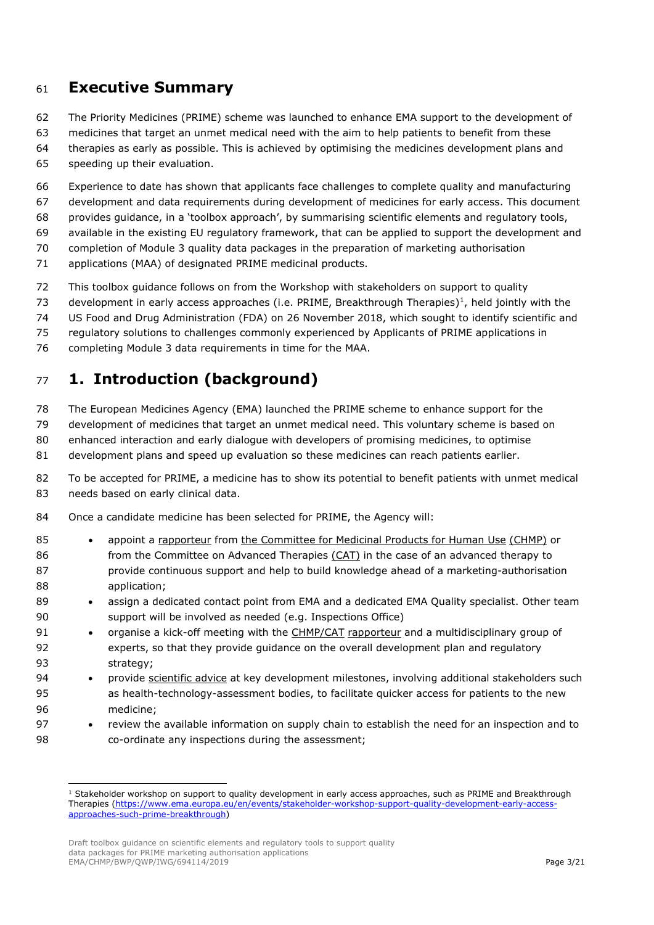# <span id="page-2-0"></span>**Executive Summary**

- The Priority Medicines (PRIME) scheme was launched to enhance EMA support to the development of
- medicines that target an unmet medical need with the aim to help patients to benefit from these
- therapies as early as possible. This is achieved by optimising the medicines development plans and
- speeding up their evaluation.
- Experience to date has shown that applicants face challenges to complete quality and manufacturing
- development and data requirements during development of medicines for early access. This document
- provides guidance, in a 'toolbox approach', by summarising scientific elements and regulatory tools,
- available in the existing EU regulatory framework, that can be applied to support the development and
- completion of Module 3 quality data packages in the preparation of marketing authorisation
- applications (MAA) of designated PRIME medicinal products.
- This toolbox guidance follows on from the Workshop with stakeholders on support to quality
- 73 development in early access approaches (i.e. PRIME, Breakthrough Therapies)<sup>[1](#page-2-2)</sup>, held jointly with the
- US Food and Drug Administration (FDA) on 26 November 2018, which sought to identify scientific and
- regulatory solutions to challenges commonly experienced by Applicants of PRIME applications in
- completing Module 3 data requirements in time for the MAA.

# <span id="page-2-1"></span>**1. Introduction (background)**

- The European Medicines Agency (EMA) launched the PRIME scheme to enhance support for the
- development of medicines that target an unmet medical need. This voluntary scheme is based on
- enhanced interaction and early dialogue with developers of promising medicines, to optimise
- development plans and speed up evaluation so these medicines can reach patients earlier.
- To be accepted for PRIME, a medicine has to show its potential to benefit patients with unmet medical 83 needs based on early clinical data.
- Once a candidate medicine has been selected for PRIME, the Agency will:
- appoint a [rapporteur](https://www.ema.europa.eu/en/glossary/rapporteur) from the [Committee for Medicinal Products for Human Use](https://www.ema.europa.eu/en/glossary/committee-medicinal-products-human-use) [\(CHMP\)](https://www.ema.europa.eu/en/glossary/chmp) or from the Committee on Advanced Therapies [\(CAT\)](https://www.ema.europa.eu/en/glossary/cat) in the case of an advanced therapy to **provide continuous support and help to build knowledge ahead of a marketing-authorisation** application;
- 89 assign a dedicated contact point from EMA and a dedicated EMA Quality specialist. Other team support will be involved as needed (e.g. Inspections Office)
- organise a kick-off meeting with the [CHMP](https://www.ema.europa.eu/en/glossary/chmp)[/CAT](https://www.ema.europa.eu/en/glossary/cat) [rapporteur](https://www.ema.europa.eu/en/glossary/rapporteur) and a multidisciplinary group of experts, so that they provide guidance on the overall development plan and regulatory strategy;
- provide [scientific advice](https://www.ema.europa.eu/en/glossary/scientific-advice) at key development milestones, involving additional stakeholders such as health-technology-assessment bodies, to facilitate quicker access for patients to the new medicine;
- review the available information on supply chain to establish the need for an inspection and to co-ordinate any inspections during the assessment;

<span id="page-2-2"></span><sup>&</sup>lt;sup>1</sup> Stakeholder workshop on support to quality development in early access approaches, such as PRIME and Breakthrough Therapies [\(https://www.ema.europa.eu/en/events/stakeholder-workshop-support-quality-development-early-access](https://www.ema.europa.eu/en/events/stakeholder-workshop-support-quality-development-early-access-approaches-such-prime-breakthrough)[approaches-such-prime-breakthrough\)](https://www.ema.europa.eu/en/events/stakeholder-workshop-support-quality-development-early-access-approaches-such-prime-breakthrough)

Draft toolbox guidance on scientific elements and regulatory tools to support quality data packages for PRIME marketing authorisation applications EMA/CHMP/BWP/QWP/IWG/694114/2019 Page 3/21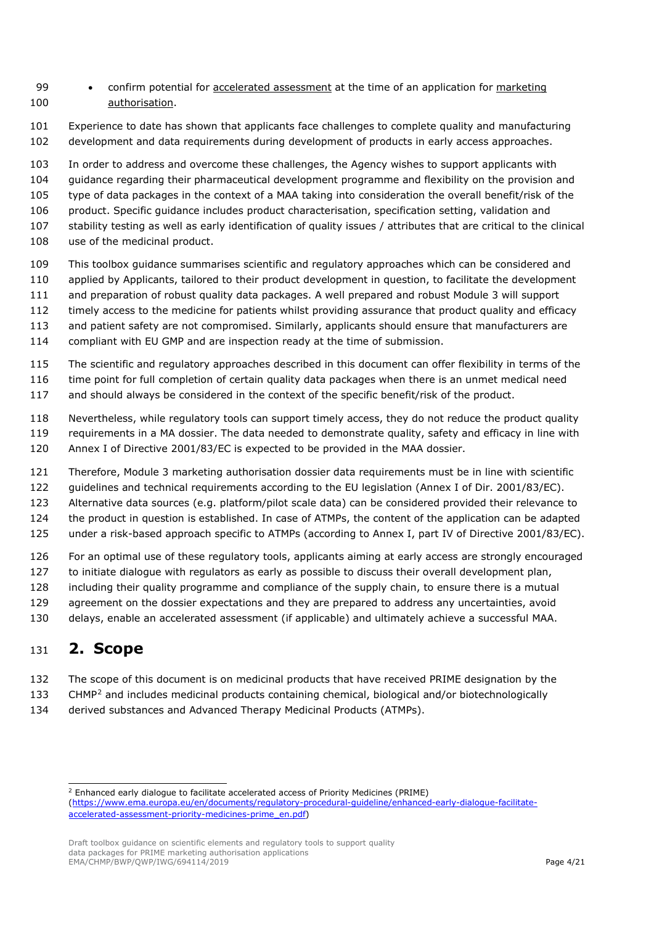- 99 confirm potential for [accelerated assessment](https://www.ema.europa.eu/en/glossary/accelerated-assessment) at the time of an application for marketing [authorisation.](https://www.ema.europa.eu/en/glossary/marketing-authorisation)
- Experience to date has shown that applicants face challenges to complete quality and manufacturing development and data requirements during development of products in early access approaches.
- In order to address and overcome these challenges, the Agency wishes to support applicants with
- guidance regarding their pharmaceutical development programme and flexibility on the provision and
- type of data packages in the context of a MAA taking into consideration the overall benefit/risk of the
- 106 product. Specific guidance includes product characterisation, specification setting, validation and
- stability testing as well as early identification of quality issues / attributes that are critical to the clinical use of the medicinal product.
- 
- This toolbox guidance summarises scientific and regulatory approaches which can be considered and
- applied by Applicants, tailored to their product development in question, to facilitate the development
- and preparation of robust quality data packages. A well prepared and robust Module 3 will support
- timely access to the medicine for patients whilst providing assurance that product quality and efficacy
- and patient safety are not compromised. Similarly, applicants should ensure that manufacturers are
- compliant with EU GMP and are inspection ready at the time of submission.
- The scientific and regulatory approaches described in this document can offer flexibility in terms of the
- time point for full completion of certain quality data packages when there is an unmet medical need
- and should always be considered in the context of the specific benefit/risk of the product.
- Nevertheless, while regulatory tools can support timely access, they do not reduce the product quality requirements in a MA dossier. The data needed to demonstrate quality, safety and efficacy in line with Annex I of Directive 2001/83/EC is expected to be provided in the MAA dossier.
- Therefore, Module 3 marketing authorisation dossier data requirements must be in line with scientific
- guidelines and technical requirements according to the EU legislation (Annex I of Dir. 2001/83/EC).
- Alternative data sources (e.g. platform/pilot scale data) can be considered provided their relevance to
- the product in question is established. In case of ATMPs, the content of the application can be adapted
- under a risk-based approach specific to ATMPs (according to Annex I, part IV of Directive 2001/83/EC).
- For an optimal use of these regulatory tools, applicants aiming at early access are strongly encouraged
- to initiate dialogue with regulators as early as possible to discuss their overall development plan,
- including their quality programme and compliance of the supply chain, to ensure there is a mutual
- 129 agreement on the dossier expectations and they are prepared to address any uncertainties, avoid
- delays, enable an accelerated assessment (if applicable) and ultimately achieve a successful MAA.

# <span id="page-3-0"></span>**2. Scope**

- The scope of this document is on medicinal products that have received PRIME designation by the
- 133 CHMP<sup>[2](#page-3-1)</sup> and includes medicinal products containing chemical, biological and/or biotechnologically
- derived substances and Advanced Therapy Medicinal Products (ATMPs).

Enhanced early dialogue to facilitate accelerated access of Priority Medicines (PRIME)

Draft toolbox guidance on scientific elements and regulatory tools to support quality data packages for PRIME marketing authorisation applications EMA/CHMP/BWP/QWP/IWG/694114/2019

<span id="page-3-1"></span>[<sup>\(</sup>https://www.ema.europa.eu/en/documents/regulatory-procedural-guideline/enhanced-early-dialogue-facilitate](https://www.ema.europa.eu/en/documents/regulatory-procedural-guideline/enhanced-early-dialogue-facilitate-accelerated-assessment-priority-medicines-prime_en.pdf)[accelerated-assessment-priority-medicines-prime\\_en.pdf\)](https://www.ema.europa.eu/en/documents/regulatory-procedural-guideline/enhanced-early-dialogue-facilitate-accelerated-assessment-priority-medicines-prime_en.pdf)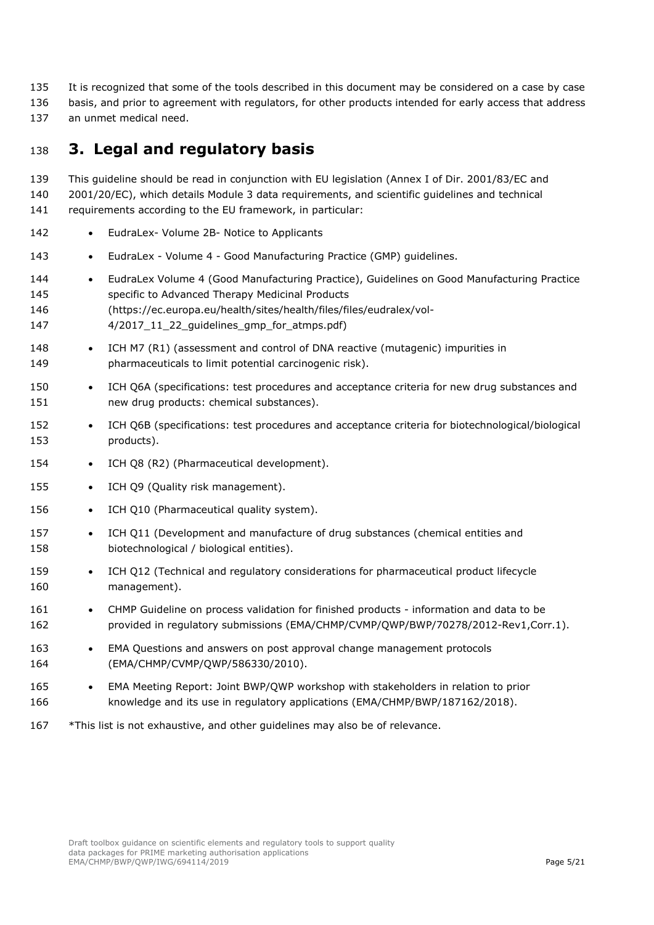- It is recognized that some of the tools described in this document may be considered on a case by case
- basis, and prior to agreement with regulators, for other products intended for early access that address
- an unmet medical need.

# <span id="page-4-0"></span>**3. Legal and regulatory basis**

 This guideline should be read in conjunction with EU legislation (Annex I of Dir. 2001/83/EC and 2001/20/EC), which details Module 3 data requirements, and scientific guidelines and technical requirements according to the EU framework, in particular:

- 142 EudraLex- Volume 2B- Notice to Applicants
- 143 EudraLex Volume 4 Good Manufacturing Practice (GMP) quidelines.
- EudraLex Volume 4 (Good Manufacturing Practice), Guidelines on Good Manufacturing Practice specific to Advanced Therapy Medicinal Products (https://ec.europa.eu/health/sites/health/files/files/eudralex/vol-
- 147 4/2017 11 22 quidelines qmp for atmps.pdf)
- ICH M7 (R1) (assessment and control of DNA reactive (mutagenic) impurities in pharmaceuticals to limit potential carcinogenic risk).
- 150 ICH Q6A (specifications: test procedures and acceptance criteria for new drug substances and new drug products: chemical substances).
- ICH Q6B (specifications: test procedures and acceptance criteria for biotechnological/biological products).
- 154 ICH Q8 (R2) (Pharmaceutical development).
- 155 ICH Q9 (Quality risk management).
- 156 ICH Q10 (Pharmaceutical quality system).
- ICH Q11 (Development and manufacture of drug substances (chemical entities and biotechnological / biological entities).
- 159 ICH Q12 (Technical and regulatory considerations for pharmaceutical product lifecycle management).
- 161 CHMP Guideline on process validation for finished products information and data to be provided in regulatory submissions (EMA/CHMP/CVMP/QWP/BWP/70278/2012-Rev1,Corr.1).
- EMA Questions and answers on post approval change management protocols (EMA/CHMP/CVMP/QWP/586330/2010).
- EMA Meeting Report: Joint BWP/QWP workshop with stakeholders in relation to prior knowledge and its use in regulatory applications (EMA/CHMP/BWP/187162/2018).
- 167 \*This list is not exhaustive, and other guidelines may also be of relevance.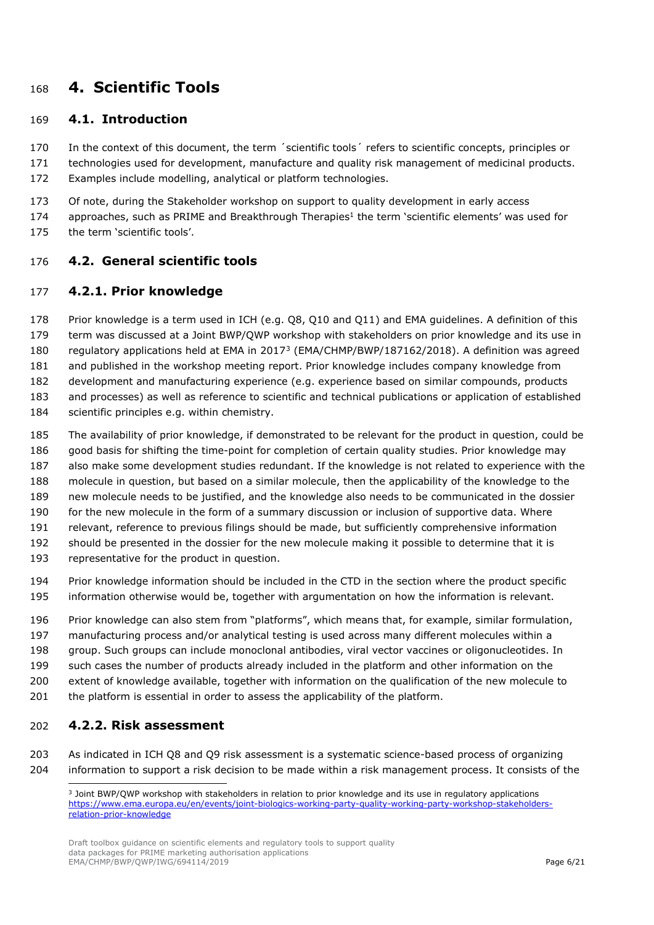# <span id="page-5-0"></span>**4. Scientific Tools**

#### <span id="page-5-1"></span>**4.1. Introduction**

 In the context of this document, the term ´scientific tools´ refers to scientific concepts, principles or technologies used for development, manufacture and quality risk management of medicinal products.

- Examples include modelling, analytical or platform technologies.
- 173 Of note, during the Stakeholder workshop on support to quality development in early access
- 174 approaches, such as PRIME and Breakthrough Therapies<sup>1</sup> the term 'scientific elements' was used for the term 'scientific tools'.

#### <span id="page-5-2"></span>**4.2. General scientific tools**

#### <span id="page-5-3"></span>**4.2.1. Prior knowledge**

 Prior knowledge is a term used in ICH (e.g. Q8, Q10 and Q11) and EMA guidelines. A definition of this term was discussed at a Joint BWP/QWP workshop with stakeholders on prior knowledge and its use in 180 regulatory applications held at EMA in 2017<sup>[3](#page-5-5)</sup> (EMA/CHMP/BWP/187162/2018). A definition was agreed and published in the workshop meeting report. Prior knowledge includes company knowledge from development and manufacturing experience (e.g. experience based on similar compounds, products and processes) as well as reference to scientific and technical publications or application of established scientific principles e.g. within chemistry.

- The availability of prior knowledge, if demonstrated to be relevant for the product in question, could be good basis for shifting the time-point for completion of certain quality studies. Prior knowledge may also make some development studies redundant. If the knowledge is not related to experience with the molecule in question, but based on a similar molecule, then the applicability of the knowledge to the new molecule needs to be justified, and the knowledge also needs to be communicated in the dossier for the new molecule in the form of a summary discussion or inclusion of supportive data. Where relevant, reference to previous filings should be made, but sufficiently comprehensive information should be presented in the dossier for the new molecule making it possible to determine that it is representative for the product in question.
- Prior knowledge information should be included in the CTD in the section where the product specific information otherwise would be, together with argumentation on how the information is relevant.
- Prior knowledge can also stem from "platforms", which means that, for example, similar formulation, manufacturing process and/or analytical testing is used across many different molecules within a group. Such groups can include monoclonal antibodies, viral vector vaccines or oligonucleotides. In such cases the number of products already included in the platform and other information on the extent of knowledge available, together with information on the qualification of the new molecule to 201 the platform is essential in order to assess the applicability of the platform.

## <span id="page-5-4"></span>**4.2.2. Risk assessment**

<span id="page-5-5"></span> As indicated in ICH Q8 and Q9 risk assessment is a systematic science-based process of organizing information to support a risk decision to be made within a risk management process. It consists of the

 Joint BWP/QWP workshop with stakeholders in relation to prior knowledge and its use in regulatory applications [https://www.ema.europa.eu/en/events/joint-biologics-working-party-quality-working-party-workshop-stakeholders](https://www.ema.europa.eu/en/events/joint-biologics-working-party-quality-working-party-workshop-stakeholders-relation-prior-knowledge)[relation-prior-knowledge](https://www.ema.europa.eu/en/events/joint-biologics-working-party-quality-working-party-workshop-stakeholders-relation-prior-knowledge)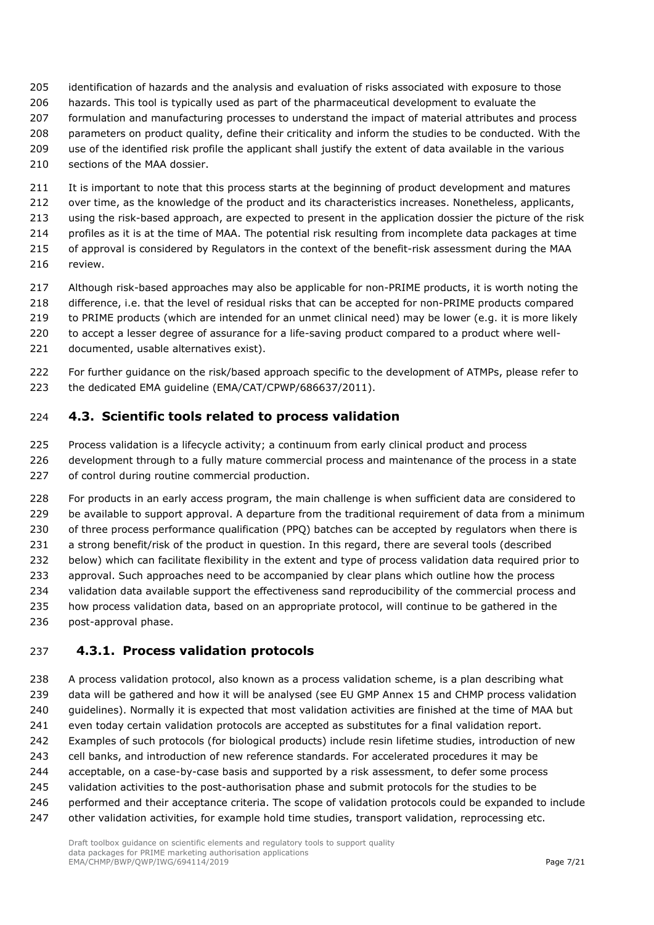- identification of hazards and the analysis and evaluation of risks associated with exposure to those hazards. This tool is typically used as part of the pharmaceutical development to evaluate the
- formulation and manufacturing processes to understand the impact of material attributes and process
- parameters on product quality, define their criticality and inform the studies to be conducted. With the
- use of the identified risk profile the applicant shall justify the extent of data available in the various 210 sections of the MAA dossier.
- 211 It is important to note that this process starts at the beginning of product development and matures
- 212 over time, as the knowledge of the product and its characteristics increases. Nonetheless, applicants,
- using the risk-based approach, are expected to present in the application dossier the picture of the risk
- profiles as it is at the time of MAA. The potential risk resulting from incomplete data packages at time
- of approval is considered by Regulators in the context of the benefit-risk assessment during the MAA review.
- Although risk-based approaches may also be applicable for non-PRIME products, it is worth noting the
- difference, i.e. that the level of residual risks that can be accepted for non-PRIME products compared
- to PRIME products (which are intended for an unmet clinical need) may be lower (e.g. it is more likely
- 220 to accept a lesser degree of assurance for a life-saving product compared to a product where well-documented, usable alternatives exist).
- 222 For further guidance on the risk/based approach specific to the development of ATMPs, please refer to the dedicated EMA guideline (EMA/CAT/CPWP/686637/2011).

# <span id="page-6-0"></span>**4.3. Scientific tools related to process validation**

- Process validation is a lifecycle activity; a continuum from early clinical product and process 226 development through to a fully mature commercial process and maintenance of the process in a state of control during routine commercial production.
- For products in an early access program, the main challenge is when sufficient data are considered to 229 be available to support approval. A departure from the traditional requirement of data from a minimum 230 of three process performance qualification (PPQ) batches can be accepted by regulators when there is 231 a strong benefit/risk of the product in question. In this regard, there are several tools (described below) which can facilitate flexibility in the extent and type of process validation data required prior to approval. Such approaches need to be accompanied by clear plans which outline how the process 234 validation data available support the effectiveness sand reproducibility of the commercial process and how process validation data, based on an appropriate protocol, will continue to be gathered in the post-approval phase.

# <span id="page-6-1"></span>**4.3.1. Process validation protocols**

- A process validation protocol, also known as a process validation scheme, is a plan describing what data will be gathered and how it will be analysed (see EU GMP Annex 15 and CHMP process validation guidelines). Normally it is expected that most validation activities are finished at the time of MAA but even today certain validation protocols are accepted as substitutes for a final validation report. Examples of such protocols (for biological products) include resin lifetime studies, introduction of new cell banks, and introduction of new reference standards. For accelerated procedures it may be acceptable, on a case-by-case basis and supported by a risk assessment, to defer some process
- 245 validation activities to the post-authorisation phase and submit protocols for the studies to be
- performed and their acceptance criteria. The scope of validation protocols could be expanded to include
- 247 other validation activities, for example hold time studies, transport validation, reprocessing etc.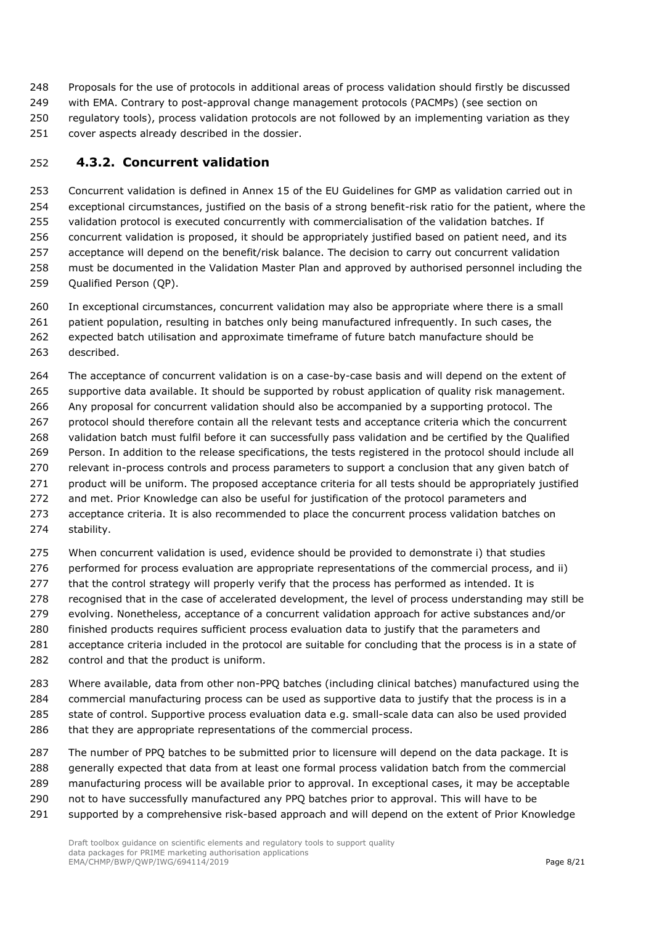Proposals for the use of protocols in additional areas of process validation should firstly be discussed with EMA. Contrary to post-approval change management protocols (PACMPs) (see section on regulatory tools), process validation protocols are not followed by an implementing variation as they cover aspects already described in the dossier.

## <span id="page-7-0"></span>**4.3.2. Concurrent validation**

 Concurrent validation is defined in Annex 15 of the EU Guidelines for GMP as validation carried out in exceptional circumstances, justified on the basis of a strong benefit-risk ratio for the patient, where the validation protocol is executed concurrently with commercialisation of the validation batches. If concurrent validation is proposed, it should be appropriately justified based on patient need, and its acceptance will depend on the benefit/risk balance. The decision to carry out concurrent validation must be documented in the Validation Master Plan and approved by authorised personnel including the Qualified Person (QP).

 In exceptional circumstances, concurrent validation may also be appropriate where there is a small patient population, resulting in batches only being manufactured infrequently. In such cases, the expected batch utilisation and approximate timeframe of future batch manufacture should be

described.

 The acceptance of concurrent validation is on a case-by-case basis and will depend on the extent of supportive data available. It should be supported by robust application of quality risk management. Any proposal for concurrent validation should also be accompanied by a supporting protocol. The protocol should therefore contain all the relevant tests and acceptance criteria which the concurrent validation batch must fulfil before it can successfully pass validation and be certified by the Qualified Person. In addition to the release specifications, the tests registered in the protocol should include all 270 relevant in-process controls and process parameters to support a conclusion that any given batch of product will be uniform. The proposed acceptance criteria for all tests should be appropriately justified 272 and met. Prior Knowledge can also be useful for justification of the protocol parameters and acceptance criteria. It is also recommended to place the concurrent process validation batches on stability.

 When concurrent validation is used, evidence should be provided to demonstrate i) that studies performed for process evaluation are appropriate representations of the commercial process, and ii) 277 that the control strategy will properly verify that the process has performed as intended. It is 278 recognised that in the case of accelerated development, the level of process understanding may still be evolving. Nonetheless, acceptance of a concurrent validation approach for active substances and/or finished products requires sufficient process evaluation data to justify that the parameters and acceptance criteria included in the protocol are suitable for concluding that the process is in a state of control and that the product is uniform.

 Where available, data from other non-PPQ batches (including clinical batches) manufactured using the commercial manufacturing process can be used as supportive data to justify that the process is in a state of control. Supportive process evaluation data e.g. small-scale data can also be used provided that they are appropriate representations of the commercial process.

 The number of PPQ batches to be submitted prior to licensure will depend on the data package. It is generally expected that data from at least one formal process validation batch from the commercial manufacturing process will be available prior to approval. In exceptional cases, it may be acceptable not to have successfully manufactured any PPQ batches prior to approval. This will have to be 291 supported by a comprehensive risk-based approach and will depend on the extent of Prior Knowledge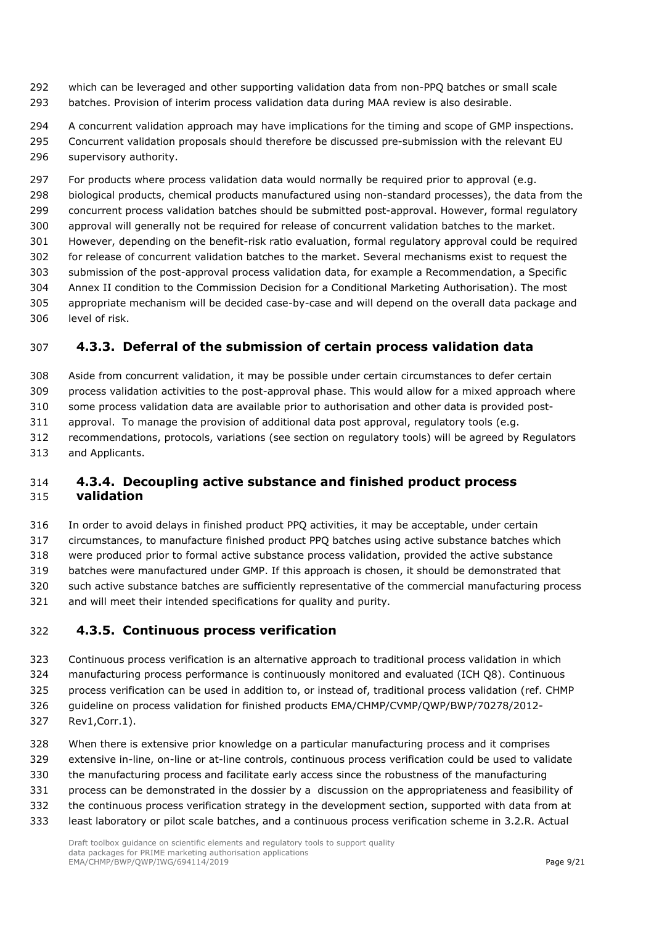which can be leveraged and other supporting validation data from non-PPQ batches or small scale batches. Provision of interim process validation data during MAA review is also desirable.

 A concurrent validation approach may have implications for the timing and scope of GMP inspections. Concurrent validation proposals should therefore be discussed pre-submission with the relevant EU supervisory authority.

 For products where process validation data would normally be required prior to approval (e.g. biological products, chemical products manufactured using non-standard processes), the data from the concurrent process validation batches should be submitted post-approval. However, formal regulatory approval will generally not be required for release of concurrent validation batches to the market. However, depending on the benefit-risk ratio evaluation, formal regulatory approval could be required for release of concurrent validation batches to the market. Several mechanisms exist to request the submission of the post-approval process validation data, for example a Recommendation, a Specific Annex II condition to the Commission Decision for a Conditional Marketing Authorisation). The most appropriate mechanism will be decided case-by-case and will depend on the overall data package and level of risk.

## <span id="page-8-0"></span>**4.3.3. Deferral of the submission of certain process validation data**

 Aside from concurrent validation, it may be possible under certain circumstances to defer certain process validation activities to the post-approval phase. This would allow for a mixed approach where some process validation data are available prior to authorisation and other data is provided post- approval. To manage the provision of additional data post approval, regulatory tools (e.g. recommendations, protocols, variations (see section on regulatory tools) will be agreed by Regulators and Applicants.

#### <span id="page-8-1"></span> **4.3.4. Decoupling active substance and finished product process validation**

 In order to avoid delays in finished product PPQ activities, it may be acceptable, under certain circumstances, to manufacture finished product PPQ batches using active substance batches which were produced prior to formal active substance process validation, provided the active substance batches were manufactured under GMP. If this approach is chosen, it should be demonstrated that such active substance batches are sufficiently representative of the commercial manufacturing process and will meet their intended specifications for quality and purity.

#### <span id="page-8-2"></span>**4.3.5. Continuous process verification**

- Continuous process verification is an alternative approach to traditional process validation in which manufacturing process performance is continuously monitored and evaluated (ICH Q8). Continuous
- process verification can be used in addition to, or instead of, traditional process validation (ref. CHMP guideline on process validation for finished products EMA/CHMP/CVMP/QWP/BWP/70278/2012-
- Rev1,Corr.1).
- When there is extensive prior knowledge on a particular manufacturing process and it comprises extensive in-line, on-line or at-line controls, continuous process verification could be used to validate the manufacturing process and facilitate early access since the robustness of the manufacturing process can be demonstrated in the dossier by a discussion on the appropriateness and feasibility of the continuous process verification strategy in the development section, supported with data from at
- least laboratory or pilot scale batches, and a continuous process verification scheme in 3.2.R. Actual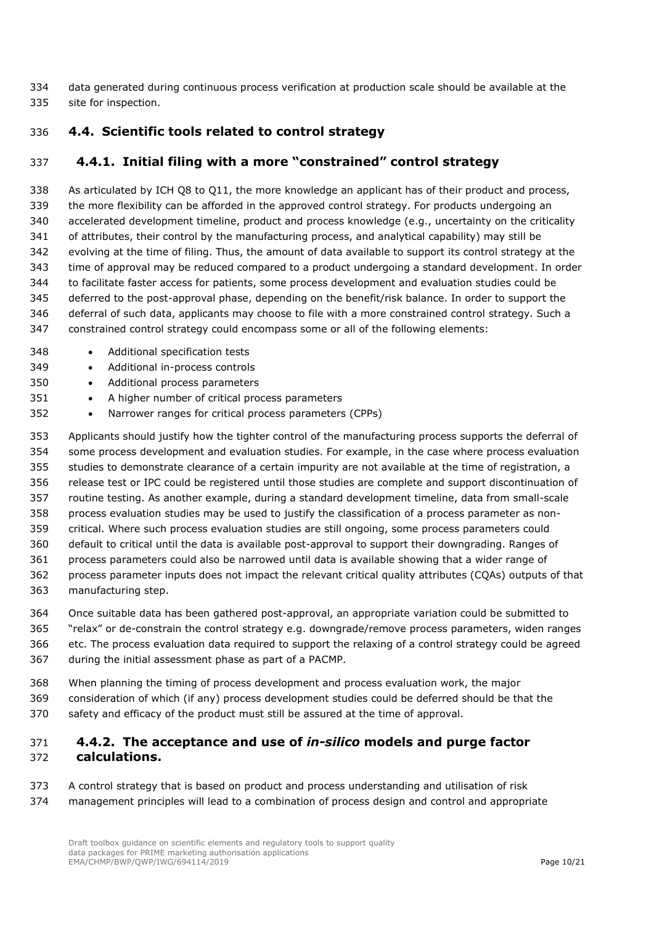data generated during continuous process verification at production scale should be available at the site for inspection.

## <span id="page-9-0"></span>**4.4. Scientific tools related to control strategy**

## <span id="page-9-1"></span>**4.4.1. Initial filing with a more "constrained" control strategy**

 As articulated by ICH Q8 to Q11, the more knowledge an applicant has of their product and process, the more flexibility can be afforded in the approved control strategy. For products undergoing an accelerated development timeline, product and process knowledge (e.g., uncertainty on the criticality of attributes, their control by the manufacturing process, and analytical capability) may still be evolving at the time of filing. Thus, the amount of data available to support its control strategy at the time of approval may be reduced compared to a product undergoing a standard development. In order to facilitate faster access for patients, some process development and evaluation studies could be deferred to the post-approval phase, depending on the benefit/risk balance. In order to support the deferral of such data, applicants may choose to file with a more constrained control strategy. Such a constrained control strategy could encompass some or all of the following elements:

- 348 Additional specification tests
- Additional in-process controls
- Additional process parameters
- A higher number of critical process parameters
- Narrower ranges for critical process parameters (CPPs)

 Applicants should justify how the tighter control of the manufacturing process supports the deferral of some process development and evaluation studies. For example, in the case where process evaluation studies to demonstrate clearance of a certain impurity are not available at the time of registration, a release test or IPC could be registered until those studies are complete and support discontinuation of routine testing. As another example, during a standard development timeline, data from small-scale process evaluation studies may be used to justify the classification of a process parameter as non- critical. Where such process evaluation studies are still ongoing, some process parameters could default to critical until the data is available post-approval to support their downgrading. Ranges of process parameters could also be narrowed until data is available showing that a wider range of process parameter inputs does not impact the relevant critical quality attributes (CQAs) outputs of that manufacturing step.

- Once suitable data has been gathered post-approval, an appropriate variation could be submitted to "relax" or de-constrain the control strategy e.g. downgrade/remove process parameters, widen ranges etc. The process evaluation data required to support the relaxing of a control strategy could be agreed
- during the initial assessment phase as part of a PACMP.
- When planning the timing of process development and process evaluation work, the major
- consideration of which (if any) process development studies could be deferred should be that the
- safety and efficacy of the product must still be assured at the time of approval.

#### <span id="page-9-2"></span> **4.4.2. The acceptance and use of** *in-silico* **models and purge factor calculations.**

- A control strategy that is based on product and process understanding and utilisation of risk
- management principles will lead to a combination of process design and control and appropriate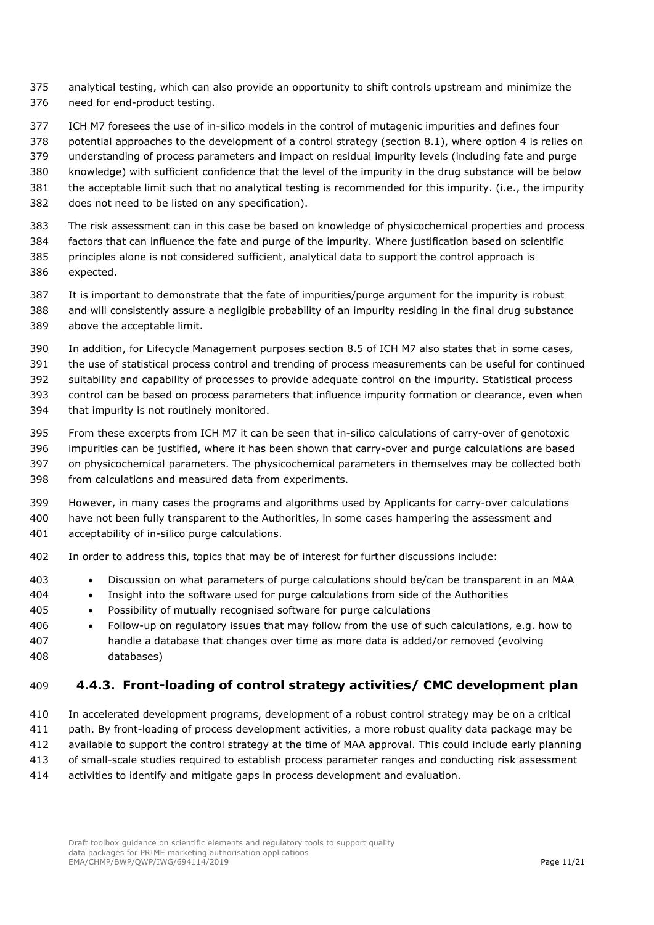- analytical testing, which can also provide an opportunity to shift controls upstream and minimize the need for end-product testing.
- ICH M7 foresees the use of in-silico models in the control of mutagenic impurities and defines four
- potential approaches to the development of a control strategy (section 8.1), where option 4 is relies on
- understanding of process parameters and impact on residual impurity levels (including fate and purge
- knowledge) with sufficient confidence that the level of the impurity in the drug substance will be below
- the acceptable limit such that no analytical testing is recommended for this impurity. (i.e., the impurity
- does not need to be listed on any specification).
- The risk assessment can in this case be based on knowledge of physicochemical properties and process
- factors that can influence the fate and purge of the impurity. Where justification based on scientific principles alone is not considered sufficient, analytical data to support the control approach is expected.
- It is important to demonstrate that the fate of impurities/purge argument for the impurity is robust and will consistently assure a negligible probability of an impurity residing in the final drug substance above the acceptable limit.
- In addition, for Lifecycle Management purposes section 8.5 of ICH M7 also states that in some cases,
- the use of statistical process control and trending of process measurements can be useful for continued
- suitability and capability of processes to provide adequate control on the impurity. Statistical process
- control can be based on process parameters that influence impurity formation or clearance, even when
- that impurity is not routinely monitored.
- From these excerpts from ICH M7 it can be seen that in-silico calculations of carry-over of genotoxic impurities can be justified, where it has been shown that carry-over and purge calculations are based on physicochemical parameters. The physicochemical parameters in themselves may be collected both from calculations and measured data from experiments.
- However, in many cases the programs and algorithms used by Applicants for carry-over calculations have not been fully transparent to the Authorities, in some cases hampering the assessment and acceptability of in-silico purge calculations.
- In order to address this, topics that may be of interest for further discussions include:
- Discussion on what parameters of purge calculations should be/can be transparent in an MAA
- Insight into the software used for purge calculations from side of the Authorities
- Possibility of mutually recognised software for purge calculations
- Follow-up on regulatory issues that may follow from the use of such calculations, e.g. how to handle a database that changes over time as more data is added/or removed (evolving databases)

## <span id="page-10-0"></span>**4.4.3. Front-loading of control strategy activities/ CMC development plan**

 In accelerated development programs, development of a robust control strategy may be on a critical path. By front-loading of process development activities, a more robust quality data package may be available to support the control strategy at the time of MAA approval. This could include early planning of small-scale studies required to establish process parameter ranges and conducting risk assessment activities to identify and mitigate gaps in process development and evaluation.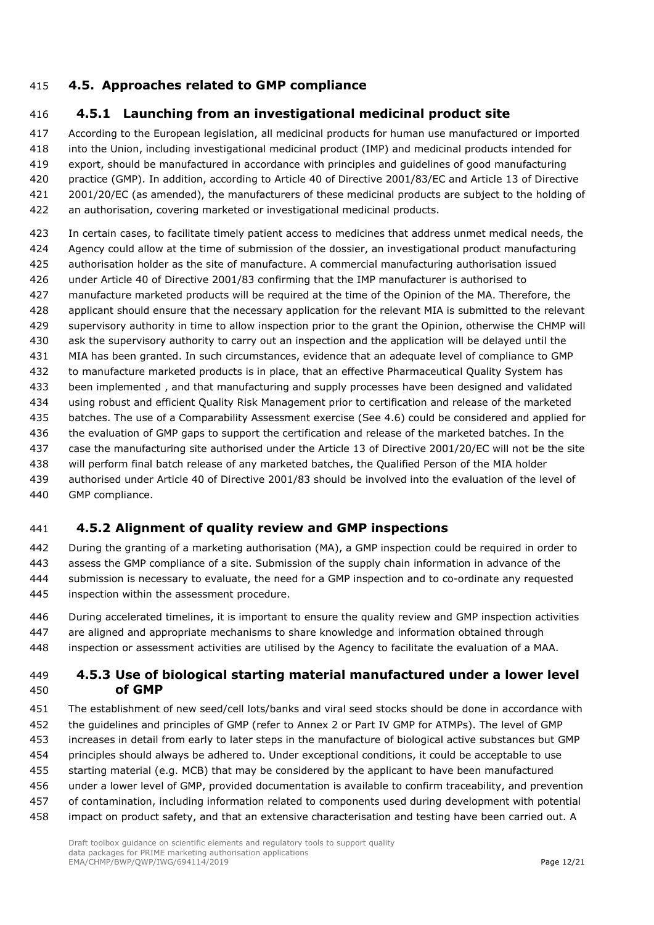## <span id="page-11-0"></span>**4.5. Approaches related to GMP compliance**

## <span id="page-11-1"></span>**4.5.1 Launching from an investigational medicinal product site**

 According to the European legislation, all medicinal products for human use manufactured or imported into the Union, including investigational medicinal product (IMP) and medicinal products intended for export, should be manufactured in accordance with principles and guidelines of good manufacturing practice (GMP). In addition, according to Article 40 of Directive 2001/83/EC and Article 13 of Directive 2001/20/EC (as amended), the manufacturers of these medicinal products are subject to the holding of an authorisation, covering marketed or investigational medicinal products.

 In certain cases, to facilitate timely patient access to medicines that address unmet medical needs, the Agency could allow at the time of submission of the dossier, an investigational product manufacturing authorisation holder as the site of manufacture. A commercial manufacturing authorisation issued under Article 40 of Directive 2001/83 confirming that the IMP manufacturer is authorised to manufacture marketed products will be required at the time of the Opinion of the MA. Therefore, the applicant should ensure that the necessary application for the relevant MIA is submitted to the relevant supervisory authority in time to allow inspection prior to the grant the Opinion, otherwise the CHMP will ask the supervisory authority to carry out an inspection and the application will be delayed until the MIA has been granted. In such circumstances, evidence that an adequate level of compliance to GMP to manufacture marketed products is in place, that an effective Pharmaceutical Quality System has been implemented , and that manufacturing and supply processes have been designed and validated using robust and efficient Quality Risk Management prior to certification and release of the marketed batches. The use of a Comparability Assessment exercise (See 4.6) could be considered and applied for the evaluation of GMP gaps to support the certification and release of the marketed batches. In the case the manufacturing site authorised under the Article 13 of Directive 2001/20/EC will not be the site will perform final batch release of any marketed batches, the Qualified Person of the MIA holder authorised under Article 40 of Directive 2001/83 should be involved into the evaluation of the level of GMP compliance.

## <span id="page-11-2"></span>**4.5.2 Alignment of quality review and GMP inspections**

 During the granting of a marketing authorisation (MA), a GMP inspection could be required in order to assess the GMP compliance of a site. Submission of the supply chain information in advance of the submission is necessary to evaluate, the need for a GMP inspection and to co-ordinate any requested inspection within the assessment procedure.

 During accelerated timelines, it is important to ensure the quality review and GMP inspection activities are aligned and appropriate mechanisms to share knowledge and information obtained through inspection or assessment activities are utilised by the Agency to facilitate the evaluation of a MAA.

#### <span id="page-11-3"></span> **4.5.3 Use of biological starting material manufactured under a lower level of GMP**

 The establishment of new seed/cell lots/banks and viral seed stocks should be done in accordance with the guidelines and principles of GMP (refer to Annex 2 or Part IV GMP for ATMPs). The level of GMP increases in detail from early to later steps in the manufacture of biological active substances but GMP principles should always be adhered to. Under exceptional conditions, it could be acceptable to use starting material (e.g. MCB) that may be considered by the applicant to have been manufactured under a lower level of GMP, provided documentation is available to confirm traceability, and prevention of contamination, including information related to components used during development with potential impact on product safety, and that an extensive characterisation and testing have been carried out. A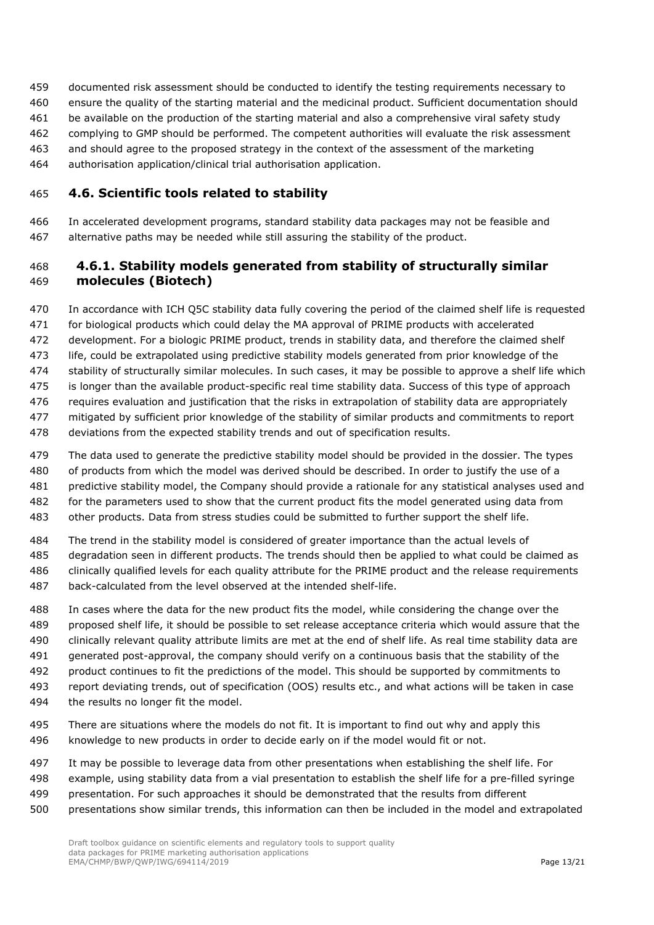- documented risk assessment should be conducted to identify the testing requirements necessary to
- ensure the quality of the starting material and the medicinal product. Sufficient documentation should
- be available on the production of the starting material and also a comprehensive viral safety study
- complying to GMP should be performed. The competent authorities will evaluate the risk assessment
- and should agree to the proposed strategy in the context of the assessment of the marketing
- authorisation application/clinical trial authorisation application.

## <span id="page-12-0"></span>**4.6. Scientific tools related to stability**

 In accelerated development programs, standard stability data packages may not be feasible and alternative paths may be needed while still assuring the stability of the product.

## <span id="page-12-1"></span> **4.6.1. Stability models generated from stability of structurally similar molecules (Biotech)**

- In accordance with ICH Q5C stability data fully covering the period of the claimed shelf life is requested for biological products which could delay the MA approval of PRIME products with accelerated development. For a biologic PRIME product, trends in stability data, and therefore the claimed shelf life, could be extrapolated using predictive stability models generated from prior knowledge of the stability of structurally similar molecules. In such cases, it may be possible to approve a shelf life which is longer than the available product-specific real time stability data. Success of this type of approach requires evaluation and justification that the risks in extrapolation of stability data are appropriately mitigated by sufficient prior knowledge of the stability of similar products and commitments to report deviations from the expected stability trends and out of specification results.
- The data used to generate the predictive stability model should be provided in the dossier. The types of products from which the model was derived should be described. In order to justify the use of a predictive stability model, the Company should provide a rationale for any statistical analyses used and for the parameters used to show that the current product fits the model generated using data from
- other products. Data from stress studies could be submitted to further support the shelf life.
- The trend in the stability model is considered of greater importance than the actual levels of
- degradation seen in different products. The trends should then be applied to what could be claimed as clinically qualified levels for each quality attribute for the PRIME product and the release requirements
- back-calculated from the level observed at the intended shelf-life.
- In cases where the data for the new product fits the model, while considering the change over the proposed shelf life, it should be possible to set release acceptance criteria which would assure that the clinically relevant quality attribute limits are met at the end of shelf life. As real time stability data are generated post-approval, the company should verify on a continuous basis that the stability of the product continues to fit the predictions of the model. This should be supported by commitments to report deviating trends, out of specification (OOS) results etc., and what actions will be taken in case the results no longer fit the model.
- 495 There are situations where the models do not fit. It is important to find out why and apply this knowledge to new products in order to decide early on if the model would fit or not.
- It may be possible to leverage data from other presentations when establishing the shelf life. For
- example, using stability data from a vial presentation to establish the shelf life for a pre-filled syringe
- presentation. For such approaches it should be demonstrated that the results from different
- presentations show similar trends, this information can then be included in the model and extrapolated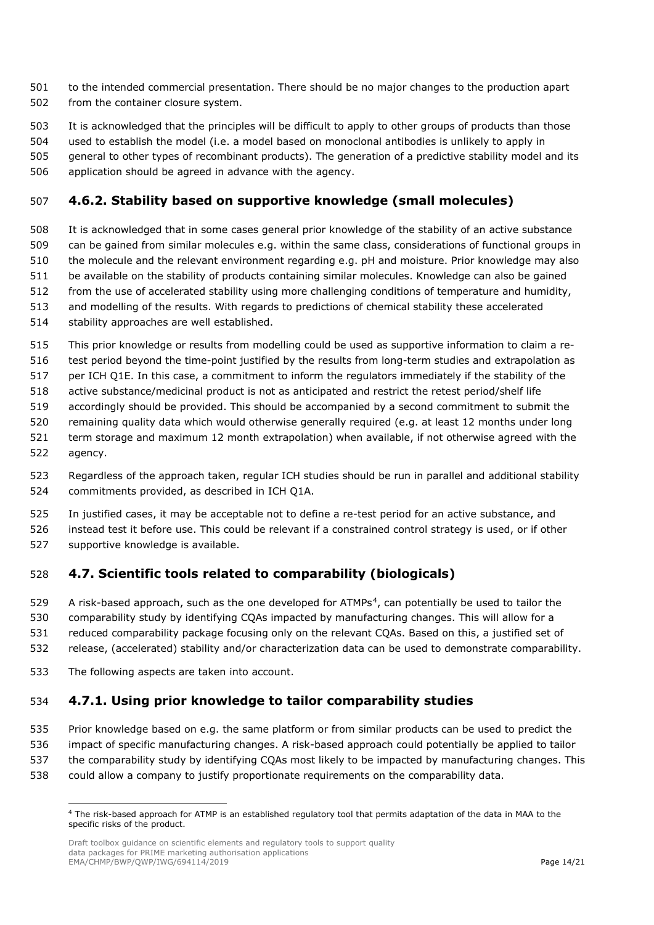- to the intended commercial presentation. There should be no major changes to the production apart from the container closure system.
- It is acknowledged that the principles will be difficult to apply to other groups of products than those
- used to establish the model (i.e. a model based on monoclonal antibodies is unlikely to apply in
- general to other types of recombinant products). The generation of a predictive stability model and its
- application should be agreed in advance with the agency.

## <span id="page-13-0"></span>**4.6.2. Stability based on supportive knowledge (small molecules)**

- It is acknowledged that in some cases general prior knowledge of the stability of an active substance can be gained from similar molecules e.g. within the same class, considerations of functional groups in the molecule and the relevant environment regarding e.g. pH and moisture. Prior knowledge may also be available on the stability of products containing similar molecules. Knowledge can also be gained from the use of accelerated stability using more challenging conditions of temperature and humidity, and modelling of the results. With regards to predictions of chemical stability these accelerated
- stability approaches are well established.
- This prior knowledge or results from modelling could be used as supportive information to claim a re-
- test period beyond the time-point justified by the results from long-term studies and extrapolation as
- per ICH Q1E. In this case, a commitment to inform the regulators immediately if the stability of the
- active substance/medicinal product is not as anticipated and restrict the retest period/shelf life
- accordingly should be provided. This should be accompanied by a second commitment to submit the
- remaining quality data which would otherwise generally required (e.g. at least 12 months under long
- term storage and maximum 12 month extrapolation) when available, if not otherwise agreed with the
- agency.
- Regardless of the approach taken, regular ICH studies should be run in parallel and additional stability commitments provided, as described in ICH Q1A.
- In justified cases, it may be acceptable not to define a re-test period for an active substance, and instead test it before use. This could be relevant if a constrained control strategy is used, or if other
- supportive knowledge is available.

## <span id="page-13-1"></span>**4.7. Scientific tools related to comparability (biologicals)**

- 529 A risk-based approach, such as the one developed for ATMPs<sup>[4](#page-13-3)</sup>, can potentially be used to tailor the
- comparability study by identifying CQAs impacted by manufacturing changes. This will allow for a
- reduced comparability package focusing only on the relevant CQAs. Based on this, a justified set of
- release, (accelerated) stability and/or characterization data can be used to demonstrate comparability.
- The following aspects are taken into account.

## <span id="page-13-2"></span>**4.7.1. Using prior knowledge to tailor comparability studies**

- Prior knowledge based on e.g. the same platform or from similar products can be used to predict the
- impact of specific manufacturing changes. A risk-based approach could potentially be applied to tailor
- the comparability study by identifying CQAs most likely to be impacted by manufacturing changes. This
- <span id="page-13-3"></span>could allow a company to justify proportionate requirements on the comparability data.

 The risk-based approach for ATMP is an established regulatory tool that permits adaptation of the data in MAA to the specific risks of the product.

Draft toolbox guidance on scientific elements and regulatory tools to support quality data packages for PRIME marketing authorisation applications EMA/CHMP/BWP/QWP/IWG/694114/2019 **Page 14/21** Page 14/21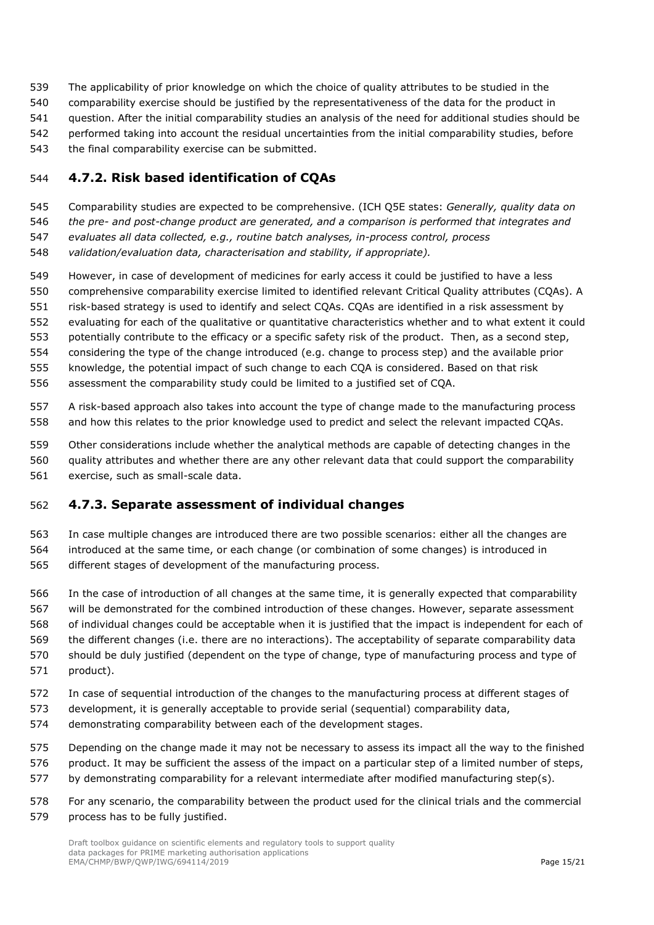- The applicability of prior knowledge on which the choice of quality attributes to be studied in the
- comparability exercise should be justified by the representativeness of the data for the product in
- question. After the initial comparability studies an analysis of the need for additional studies should be
- performed taking into account the residual uncertainties from the initial comparability studies, before
- the final comparability exercise can be submitted.

## <span id="page-14-0"></span>**4.7.2. Risk based identification of CQAs**

- Comparability studies are expected to be comprehensive. (ICH Q5E states: *Generally, quality data on*
- *the pre- and post-change product are generated, and a comparison is performed that integrates and*
- *evaluates all data collected, e.g., routine batch analyses, in-process control, process*
- *validation/evaluation data, characterisation and stability, if appropriate).*
- However, in case of development of medicines for early access it could be justified to have a less
- comprehensive comparability exercise limited to identified relevant Critical Quality attributes (CQAs). A
- risk-based strategy is used to identify and select CQAs. CQAs are identified in a risk assessment by
- evaluating for each of the qualitative or quantitative characteristics whether and to what extent it could
- potentially contribute to the efficacy or a specific safety risk of the product. Then, as a second step,
- considering the type of the change introduced (e.g. change to process step) and the available prior
- knowledge, the potential impact of such change to each CQA is considered. Based on that risk
- assessment the comparability study could be limited to a justified set of CQA.
- A risk-based approach also takes into account the type of change made to the manufacturing process and how this relates to the prior knowledge used to predict and select the relevant impacted CQAs.
- Other considerations include whether the analytical methods are capable of detecting changes in the
- quality attributes and whether there are any other relevant data that could support the comparability
- exercise, such as small-scale data.

## <span id="page-14-1"></span>**4.7.3. Separate assessment of individual changes**

- In case multiple changes are introduced there are two possible scenarios: either all the changes are introduced at the same time, or each change (or combination of some changes) is introduced in different stages of development of the manufacturing process.
- In the case of introduction of all changes at the same time, it is generally expected that comparability will be demonstrated for the combined introduction of these changes. However, separate assessment of individual changes could be acceptable when it is justified that the impact is independent for each of the different changes (i.e. there are no interactions). The acceptability of separate comparability data should be duly justified (dependent on the type of change, type of manufacturing process and type of product).
- In case of sequential introduction of the changes to the manufacturing process at different stages of
- development, it is generally acceptable to provide serial (sequential) comparability data,
- demonstrating comparability between each of the development stages.
- Depending on the change made it may not be necessary to assess its impact all the way to the finished
- product. It may be sufficient the assess of the impact on a particular step of a limited number of steps, by demonstrating comparability for a relevant intermediate after modified manufacturing step(s).
- For any scenario, the comparability between the product used for the clinical trials and the commercial process has to be fully justified.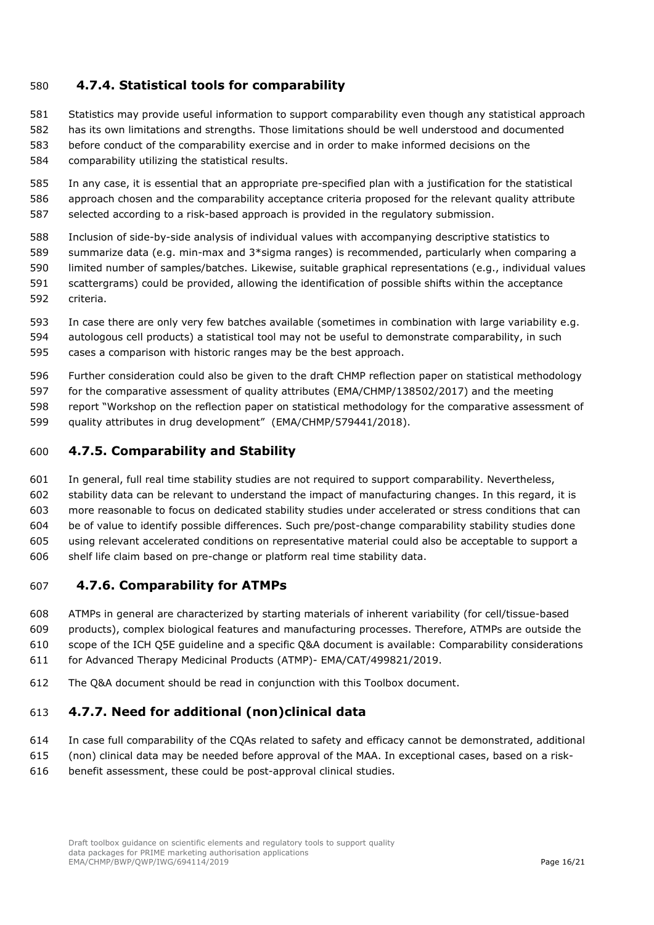## <span id="page-15-0"></span>**4.7.4. Statistical tools for comparability**

Statistics may provide useful information to support comparability even though any statistical approach

- has its own limitations and strengths. Those limitations should be well understood and documented before conduct of the comparability exercise and in order to make informed decisions on the
- comparability utilizing the statistical results.

 In any case, it is essential that an appropriate pre-specified plan with a justification for the statistical approach chosen and the comparability acceptance criteria proposed for the relevant quality attribute selected according to a risk-based approach is provided in the regulatory submission.

- Inclusion of side-by-side analysis of individual values with accompanying descriptive statistics to summarize data (e.g. min-max and 3\*sigma ranges) is recommended, particularly when comparing a
- limited number of samples/batches. Likewise, suitable graphical representations (e.g., individual values scattergrams) could be provided, allowing the identification of possible shifts within the acceptance
- criteria.
- In case there are only very few batches available (sometimes in combination with large variability e.g. autologous cell products) a statistical tool may not be useful to demonstrate comparability, in such cases a comparison with historic ranges may be the best approach.
- Further consideration could also be given to the draft CHMP reflection paper on statistical methodology
- for the comparative assessment of quality attributes (EMA/CHMP/138502/2017) and the meeting
- report "Workshop on the reflection paper on statistical methodology for the comparative assessment of
- quality attributes in drug development" (EMA/CHMP/579441/2018).

## <span id="page-15-1"></span>**4.7.5. Comparability and Stability**

- In general, full real time stability studies are not required to support comparability. Nevertheless,
- stability data can be relevant to understand the impact of manufacturing changes. In this regard, it is
- more reasonable to focus on dedicated stability studies under accelerated or stress conditions that can
- be of value to identify possible differences. Such pre/post-change comparability stability studies done using relevant accelerated conditions on representative material could also be acceptable to support a
- shelf life claim based on pre-change or platform real time stability data.

## <span id="page-15-2"></span>**4.7.6. Comparability for ATMPs**

- ATMPs in general are characterized by starting materials of inherent variability (for cell/tissue-based
- products), complex biological features and manufacturing processes. Therefore, ATMPs are outside the
- scope of the ICH Q5E guideline and a specific Q&A document is available: Comparability considerations
- for Advanced Therapy Medicinal Products (ATMP)- EMA/CAT/499821/2019.
- The Q&A document should be read in conjunction with this Toolbox document.

## <span id="page-15-3"></span>**4.7.7. Need for additional (non)clinical data**

- In case full comparability of the CQAs related to safety and efficacy cannot be demonstrated, additional
- (non) clinical data may be needed before approval of the MAA. In exceptional cases, based on a risk-
- benefit assessment, these could be post-approval clinical studies.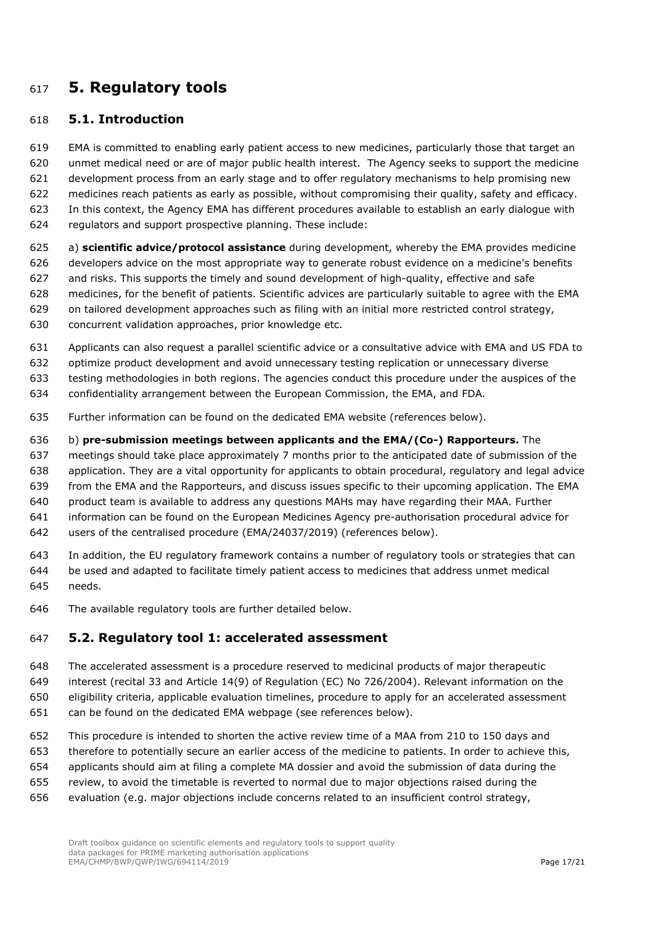# <span id="page-16-0"></span>**5. Regulatory tools**

#### <span id="page-16-1"></span>**5.1. Introduction**

 EMA is committed to enabling early patient access to new medicines, particularly those that target an unmet medical need or are of major public health interest. The Agency seeks to support the medicine development process from an early stage and to offer regulatory mechanisms to help promising new

medicines reach patients as early as possible, without compromising their quality, safety and efficacy.

- In this context, the Agency EMA has different procedures available to establish an early dialogue with
- regulators and support prospective planning. These include:
- a) **scientific advice/protocol assistance** during development, whereby the EMA provides medicine developers advice on the most appropriate way to generate robust evidence on a medicine's benefits and risks. This supports the timely and sound development of high-quality, effective and safe medicines, for the benefit of patients. Scientific advices are particularly suitable to agree with the EMA on tailored development approaches such as filing with an initial more restricted control strategy,
- concurrent validation approaches, prior knowledge etc.
- Applicants can also request a parallel scientific advice or a consultative advice with EMA and US FDA to
- optimize product development and avoid unnecessary testing replication or unnecessary diverse
- testing methodologies in both regions. The agencies conduct this procedure under the auspices of the
- confidentiality arrangement between the European Commission, the EMA, and FDA.
- Further information can be found on the dedicated EMA website (references below).

b) **pre-submission meetings between applicants and the EMA/(Co-) Rapporteurs.** The

- meetings should take place approximately 7 months prior to the anticipated date of submission of the
- application. They are a vital opportunity for applicants to obtain procedural, regulatory and legal advice
- from the EMA and the Rapporteurs, and discuss issues specific to their upcoming application. The EMA
- product team is available to address any questions MAHs may have regarding their MAA. Further
- information can be found on the European Medicines Agency pre-authorisation procedural advice for
- users of the centralised procedure (EMA/24037/2019) (references below).
- In addition, the EU regulatory framework contains a number of regulatory tools or strategies that can
- be used and adapted to facilitate timely patient access to medicines that address unmet medical needs.
- The available regulatory tools are further detailed below.

## <span id="page-16-2"></span>**5.2. Regulatory tool 1: accelerated assessment**

- [The accelerated assessment](https://www.ema.europa.eu/en/glossary/accelerated-assessment) is a procedure reserved to medicinal products of major therapeutic
- interest (recital 33 and Article 14(9) of [Regulation \(EC\) No 726/2004\)](http://eur-lex.europa.eu/LexUriServ/LexUriServ.do?uri=OJ:L:2004:136:0001:0033:en:PDF). Relevant information on the
- eligibility criteria, applicable evaluation timelines, procedure to apply for an accelerated assessment
- can be found on the dedicated EMA webpage (see references below).
- This procedure is intended to shorten the active review time of a MAA from 210 to 150 days and
- therefore to potentially secure an earlier access of the medicine to patients. In order to achieve this,
- applicants should aim at filing a complete MA dossier and avoid the submission of data during the
- review, to avoid the timetable is reverted to normal due to major objections raised during the
- evaluation (e.g. major objections include concerns related to an insufficient control strategy,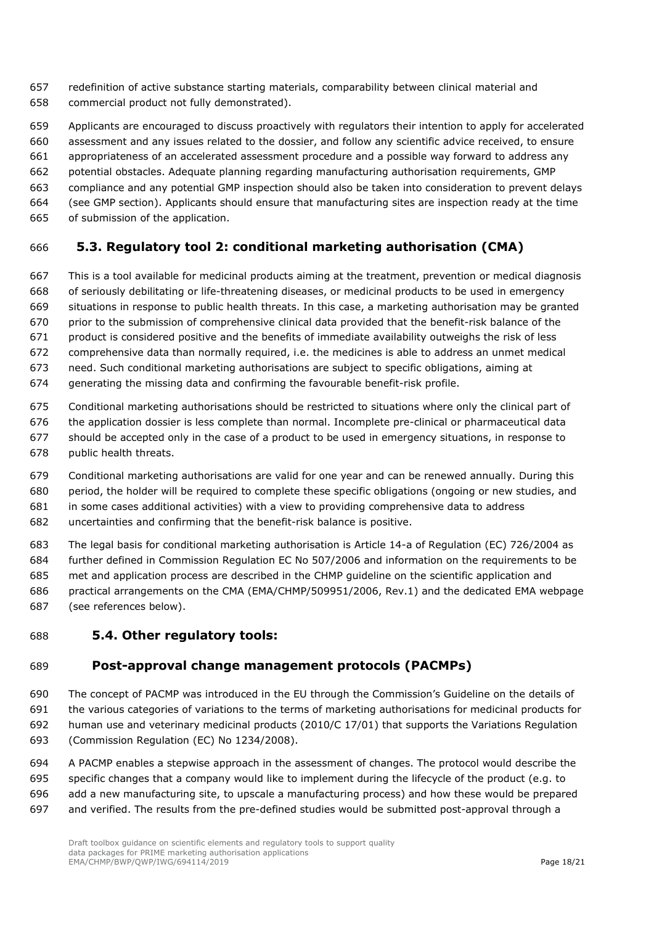- redefinition of active substance starting materials, comparability between clinical material and commercial product not fully demonstrated).
- Applicants are encouraged to discuss proactively with regulators their intention to apply for accelerated
- assessment and any issues related to the dossier, and follow any scientific advice received, to ensure
- appropriateness of an accelerated assessment procedure and a possible way forward to address any
- potential obstacles. Adequate planning regarding manufacturing authorisation requirements, GMP
- compliance and any potential GMP inspection should also be taken into consideration to prevent delays
- (see GMP section). Applicants should ensure that manufacturing sites are inspection ready at the time
- of submission of the application.

## <span id="page-17-0"></span>**5.3. Regulatory tool 2: conditional marketing authorisation (CMA)**

- This is a tool available for medicinal products aiming at the treatment, prevention or medical diagnosis of seriously debilitating or life-threatening diseases, or medicinal products to be used in emergency situations in response to public health threats. In this case, a marketing authorisation may be granted
- prior to the submission of comprehensive clinical data provided that the benefit-risk balance of the
- product is considered positive and the benefits of immediate availability outweighs the risk of less
- comprehensive data than normally required, i.e. the medicines is able to address an unmet medical
- need. Such conditional marketing authorisations are subject to specific obligations, aiming at
- generating the missing data and confirming the favourable benefit-risk profile.
- Conditional marketing authorisations should be restricted to situations where only the clinical part of
- the application dossier is less complete than normal. Incomplete pre-clinical or pharmaceutical data
- should be accepted only in the case of a product to be used in emergency situations, in response to
- public health threats.
- [Conditional marketing authorisations](https://www.ema.europa.eu/en/glossary/conditional-marketing-authorisation) are valid for one year and can be renewed annually. During this period, the holder will be required to complete [these specific obligations](https://www.ema.europa.eu/en/glossary/specific-obligations) (ongoing or new studies, and in some cases additional activities) with a view to providing comprehensive data to address
- uncertainties and confirming that the benefit-risk balance is positive.
- The legal basis for conditional marketing authorisation is Article 14-a of Regulation (EC) 726/2004 as
- further defined in Commission Regulation EC No 507/2006 and information on the requirements to be
- met and application process are described in the CHMP guideline on the scientific application and practical arrangements on the CMA (EMA/CHMP/509951/2006, Rev.1) and the dedicated EMA webpage
- (see references below).

## <span id="page-17-1"></span>**5.4. Other regulatory tools:**

## <span id="page-17-2"></span>**Post-approval change management protocols (PACMPs)**

- The concept of PACMP was introduced in the EU through the Commission's Guideline on the details of the various categories of variations to the terms of marketing authorisations for medicinal products for human use and veterinary medicinal products (2010/C 17/01) that supports the Variations Regulation (Commission Regulation (EC) No 1234/2008).
- A PACMP enables a stepwise approach in the assessment of changes. The protocol would describe the specific changes that a company would like to implement during the lifecycle of the product (e.g. to add a new manufacturing site, to upscale a manufacturing process) and how these would be prepared and verified. The results from the pre-defined studies would be submitted post-approval through a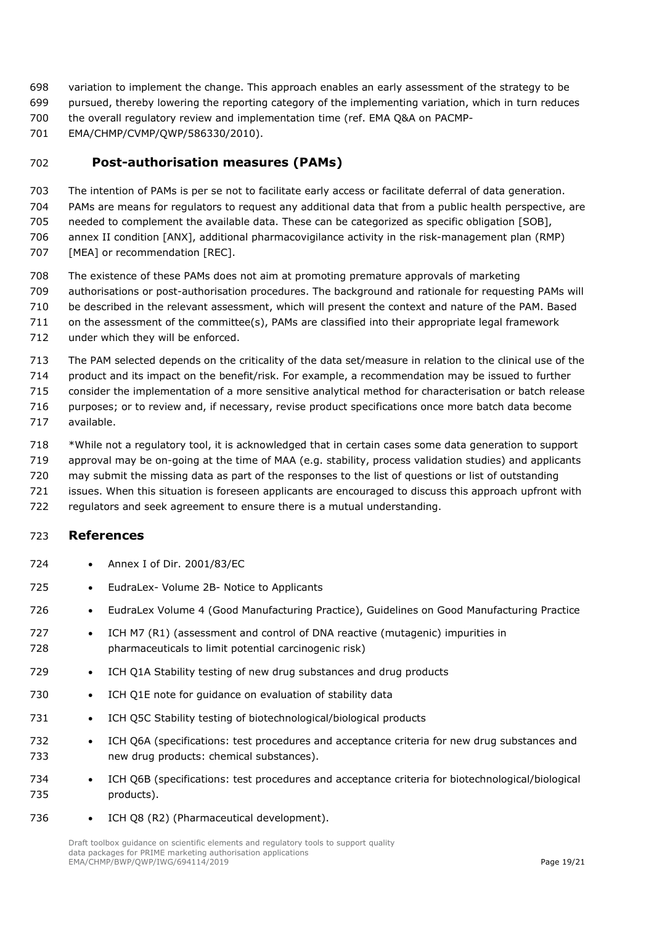- variation to implement the change. This approach enables an early assessment of the strategy to be
- pursued, thereby lowering the reporting category of the implementing variation, which in turn reduces
- the overall regulatory review and implementation time (ref. EMA Q&A on PACMP-
- EMA/CHMP/CVMP/QWP/586330/2010).

## <span id="page-18-0"></span>**Post-authorisation measures (PAMs)**

- The intention of PAMs is per se not to facilitate early access or facilitate deferral of data generation.
- PAMs are means for regulators to request any additional data that from a public health perspective, are
- needed to complement the available data. These can be categorized as specific obligation [SOB],
- annex II condition [ANX], additional [pharmacovigilance](https://www.ema.europa.eu/en/glossary/pharmacovigilance) activity in the risk-management plan (RMP) 707 [MEA] or recommendation [REC].
- The existence of these PAMs does not aim at promoting premature approvals of [marketing](https://www.ema.europa.eu/en/glossary/marketing-authorisation)
- [authorisations](https://www.ema.europa.eu/en/glossary/marketing-authorisation) or post-authorisation procedures. The background and rationale for requesting PAMs will
- be described in the relevant assessment, which will present the context and nature of the PAM. Based
- on the assessment of the committee(s), PAMs are classified into their appropriate legal framework
- under which they will be enforced.
- The PAM selected depends on the criticality of the data set/measure in relation to the clinical use of the
- product and its impact on the benefit/risk. For example, a recommendation may be issued to further
- consider the implementation of a more sensitive analytical method for characterisation or batch release purposes; or to review and, if necessary, revise product specifications once more batch data become
- available.
- \*While not a regulatory tool, it is acknowledged that in certain cases some data generation to support
- approval may be on-going at the time of MAA (e.g. stability, process validation studies) and applicants
- may submit the missing data as part of the responses to the list of questions or list of outstanding
- issues. When this situation is foreseen applicants are encouraged to discuss this approach upfront with
- regulators and seek agreement to ensure there is a mutual understanding.

#### <span id="page-18-1"></span>**References**

- Annex I of Dir. 2001/83/EC
- EudraLex- Volume 2B- Notice to Applicants
- EudraLex Volume 4 (Good Manufacturing Practice), Guidelines on Good Manufacturing Practice
- 727 ICH M7 (R1) (assessment and control of DNA reactive (mutagenic) impurities in pharmaceuticals to limit potential carcinogenic risk)
- ICH Q1A Stability testing of new drug substances and drug products
- ICH Q1E note for guidance on evaluation of stability data
- ICH Q5C Stability testing of biotechnological/biological products
- ICH Q6A (specifications: test procedures and acceptance criteria for new drug substances and new drug products: chemical substances).
- ICH Q6B (specifications: test procedures and acceptance criteria for biotechnological/biological products).
- ICH Q8 (R2) (Pharmaceutical development).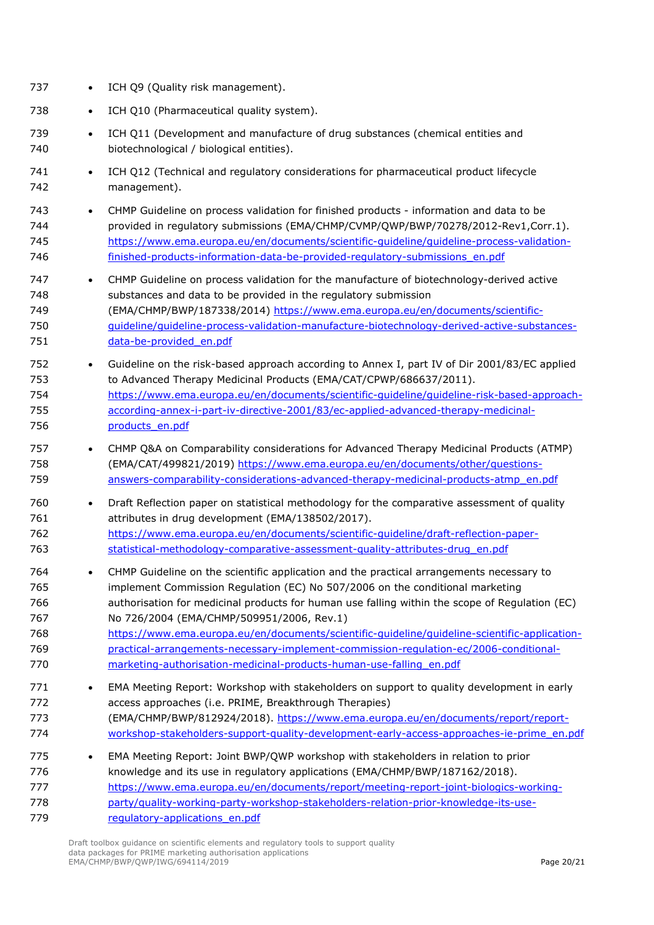| 737                                           | ICH Q9 (Quality risk management).                                                                                                                                                                                                                                                                                                                                                                                                                                                                                                                                                         |
|-----------------------------------------------|-------------------------------------------------------------------------------------------------------------------------------------------------------------------------------------------------------------------------------------------------------------------------------------------------------------------------------------------------------------------------------------------------------------------------------------------------------------------------------------------------------------------------------------------------------------------------------------------|
| 738                                           | ICH Q10 (Pharmaceutical quality system).<br>$\bullet$                                                                                                                                                                                                                                                                                                                                                                                                                                                                                                                                     |
| 739<br>740                                    | ICH Q11 (Development and manufacture of drug substances (chemical entities and<br>$\bullet$<br>biotechnological / biological entities).                                                                                                                                                                                                                                                                                                                                                                                                                                                   |
| 741<br>742                                    | ICH Q12 (Technical and regulatory considerations for pharmaceutical product lifecycle<br>$\bullet$<br>management).                                                                                                                                                                                                                                                                                                                                                                                                                                                                        |
| 743<br>744<br>745<br>746                      | CHMP Guideline on process validation for finished products - information and data to be<br>$\bullet$<br>provided in regulatory submissions (EMA/CHMP/CVMP/QWP/BWP/70278/2012-Rev1,Corr.1).<br>https://www.ema.europa.eu/en/documents/scientific-quideline/quideline-process-validation-<br>finished-products-information-data-be-provided-regulatory-submissions en.pdf                                                                                                                                                                                                                   |
| 747<br>748<br>749<br>750<br>751               | CHMP Guideline on process validation for the manufacture of biotechnology-derived active<br>$\bullet$<br>substances and data to be provided in the regulatory submission<br>(EMA/CHMP/BWP/187338/2014) https://www.ema.europa.eu/en/documents/scientific-<br>guideline/quideline-process-validation-manufacture-biotechnology-derived-active-substances-<br>data-be-provided en.pdf                                                                                                                                                                                                       |
| 752<br>753<br>754<br>755<br>756               | Guideline on the risk-based approach according to Annex I, part IV of Dir 2001/83/EC applied<br>$\bullet$<br>to Advanced Therapy Medicinal Products (EMA/CAT/CPWP/686637/2011).<br>https://www.ema.europa.eu/en/documents/scientific-guideline/guideline-risk-based-approach-<br>according-annex-i-part-iv-directive-2001/83/ec-applied-advanced-therapy-medicinal-<br>products en.pdf                                                                                                                                                                                                    |
| 757<br>758<br>759                             | CHMP Q&A on Comparability considerations for Advanced Therapy Medicinal Products (ATMP)<br>$\bullet$<br>(EMA/CAT/499821/2019) https://www.ema.europa.eu/en/documents/other/questions-<br>answers-comparability-considerations-advanced-therapy-medicinal-products-atmp_en.pdf                                                                                                                                                                                                                                                                                                             |
| 760<br>761<br>762<br>763                      | Draft Reflection paper on statistical methodology for the comparative assessment of quality<br>$\bullet$<br>attributes in drug development (EMA/138502/2017).<br>https://www.ema.europa.eu/en/documents/scientific-quideline/draft-reflection-paper-<br>statistical-methodology-comparative-assessment-quality-attributes-drug en.pdf                                                                                                                                                                                                                                                     |
| 764<br>765<br>766<br>767<br>768<br>769<br>770 | CHMP Guideline on the scientific application and the practical arrangements necessary to<br>implement Commission Regulation (EC) No 507/2006 on the conditional marketing<br>authorisation for medicinal products for human use falling within the scope of Regulation (EC)<br>No 726/2004 (EMA/CHMP/509951/2006, Rev.1)<br>https://www.ema.europa.eu/en/documents/scientific-guideline/guideline-scientific-application-<br>practical-arrangements-necessary-implement-commission-regulation-ec/2006-conditional-<br>marketing-authorisation-medicinal-products-human-use-falling en.pdf |
| 771<br>772<br>773<br>774                      | EMA Meeting Report: Workshop with stakeholders on support to quality development in early<br>$\bullet$<br>access approaches (i.e. PRIME, Breakthrough Therapies)<br>(EMA/CHMP/BWP/812924/2018). https://www.ema.europa.eu/en/documents/report/report-<br>workshop-stakeholders-support-quality-development-early-access-approaches-ie-prime en.pdf                                                                                                                                                                                                                                        |
| 775<br>776<br>777<br>778<br>779               | EMA Meeting Report: Joint BWP/QWP workshop with stakeholders in relation to prior<br>$\bullet$<br>knowledge and its use in regulatory applications (EMA/CHMP/BWP/187162/2018).<br>https://www.ema.europa.eu/en/documents/report/meeting-report-joint-biologics-working-<br>party/quality-working-party-workshop-stakeholders-relation-prior-knowledge-its-use-<br>regulatory-applications en.pdf                                                                                                                                                                                          |

Draft toolbox guidance on scientific elements and regulatory tools to support quality data packages for PRIME marketing authorisation applications EMA/CHMP/BWP/QWP/IWG/694114/2019 Page 20/21